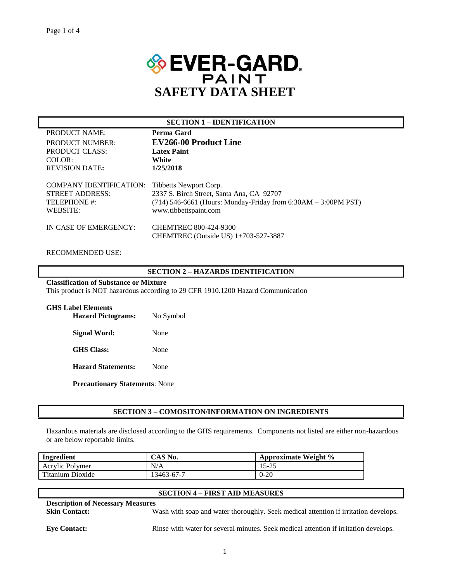

#### **SECTION 1 – IDENTIFICATION**

| PRODUCT NAME:                  | Perma Gard                                                       |
|--------------------------------|------------------------------------------------------------------|
| PRODUCT NUMBER:                | EV266-00 Product Line                                            |
| PRODUCT CLASS:                 | <b>Latex Paint</b>                                               |
| COLOR:                         | White                                                            |
| <b>REVISION DATE:</b>          | 1/25/2018                                                        |
|                                |                                                                  |
| <b>COMPANY IDENTIFICATION:</b> | Tibbetts Newport Corp.                                           |
| <b>STREET ADDRESS:</b>         | 2337 S. Birch Street, Santa Ana, CA 92707                        |
| TELEPHONE #:                   | $(714)$ 546-6661 (Hours: Monday-Friday from 6:30AM – 3:00PM PST) |
| WEBSITE:                       | www.tibbettspaint.com                                            |
|                                |                                                                  |
| IN CASE OF EMERGENCY:          | <b>CHEMTREC 800-424-9300</b>                                     |
|                                | CHEMTREC (Outside US) 1+703-527-3887                             |
|                                |                                                                  |

#### RECOMMENDED USE:

## **SECTION 2 – HAZARDS IDENTIFICATION**

# **Classification of Substance or Mixture**

This product is NOT hazardous according to 29 CFR 1910.1200 Hazard Communication

| <b>GHS Label Elements</b><br><b>Hazard Pictograms:</b> | No Symbol |
|--------------------------------------------------------|-----------|
| Signal Word:                                           | None      |
| <b>GHS</b> Class:                                      | None      |
| <b>Hazard Statements:</b>                              | None      |
| <b>Precautionary Statements: None</b>                  |           |

## **SECTION 3 – COMOSITON/INFORMATION ON INGREDIENTS**

Hazardous materials are disclosed according to the GHS requirements. Components not listed are either non-hazardous or are below reportable limits.

| Ingredient       | CAS No.    | Approximate Weight % |
|------------------|------------|----------------------|
| Acrylic Polymer  | N/A        | 15-25                |
| Titanium Dioxide | 13463-67-7 | $0 - 20$             |

| <b>SECTION 4 – FIRST AID MEASURES</b>    |                                                                                     |  |  |
|------------------------------------------|-------------------------------------------------------------------------------------|--|--|
| <b>Description of Necessary Measures</b> |                                                                                     |  |  |
| <b>Skin Contact:</b>                     | Wash with soap and water thoroughly. Seek medical attention if irritation develops. |  |  |

**Eye Contact:** Rinse with water for several minutes. Seek medical attention if irritation develops.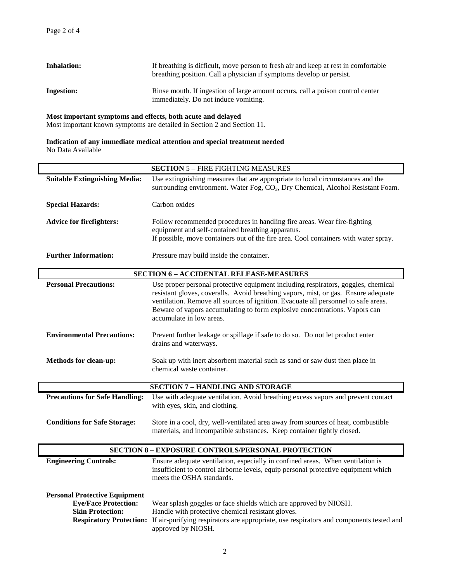| <b>Inhalation:</b> | If breathing is difficult, move person to fresh air and keep at rest in comfortable<br>breathing position. Call a physician if symptoms develop or persist. |
|--------------------|-------------------------------------------------------------------------------------------------------------------------------------------------------------|
| <b>Ingestion:</b>  | Rinse mouth. If ingestion of large amount occurs, call a poison control center<br>immediately. Do not induce vomiting.                                      |

#### **Most important symptoms and effects, both acute and delayed**

Most important known symptoms are detailed in Section 2 and Section 11.

# **Indication of any immediate medical attention and special treatment needed** No Data Available

|                                                                                                                                  | <b>SECTION 5 - FIRE FIGHTING MEASURES</b>                                                                                                                                                                                                                                                                                                                               |
|----------------------------------------------------------------------------------------------------------------------------------|-------------------------------------------------------------------------------------------------------------------------------------------------------------------------------------------------------------------------------------------------------------------------------------------------------------------------------------------------------------------------|
| <b>Suitable Extinguishing Media:</b>                                                                                             | Use extinguishing measures that are appropriate to local circumstances and the<br>surrounding environment. Water Fog, CO <sub>2</sub> , Dry Chemical, Alcohol Resistant Foam.                                                                                                                                                                                           |
| <b>Special Hazards:</b>                                                                                                          | Carbon oxides                                                                                                                                                                                                                                                                                                                                                           |
| <b>Advice for firefighters:</b>                                                                                                  | Follow recommended procedures in handling fire areas. Wear fire-fighting<br>equipment and self-contained breathing apparatus.<br>If possible, move containers out of the fire area. Cool containers with water spray.                                                                                                                                                   |
| <b>Further Information:</b>                                                                                                      | Pressure may build inside the container.                                                                                                                                                                                                                                                                                                                                |
|                                                                                                                                  | <b>SECTION 6 - ACCIDENTAL RELEASE-MEASURES</b>                                                                                                                                                                                                                                                                                                                          |
| <b>Personal Precautions:</b>                                                                                                     | Use proper personal protective equipment including respirators, goggles, chemical<br>resistant gloves, coveralls. Avoid breathing vapors, mist, or gas. Ensure adequate<br>ventilation. Remove all sources of ignition. Evacuate all personnel to safe areas.<br>Beware of vapors accumulating to form explosive concentrations. Vapors can<br>accumulate in low areas. |
| <b>Environmental Precautions:</b>                                                                                                | Prevent further leakage or spillage if safe to do so. Do not let product enter<br>drains and waterways.                                                                                                                                                                                                                                                                 |
| <b>Methods for clean-up:</b>                                                                                                     | Soak up with inert absorbent material such as sand or saw dust then place in<br>chemical waste container.                                                                                                                                                                                                                                                               |
|                                                                                                                                  | <b>SECTION 7 - HANDLING AND STORAGE</b>                                                                                                                                                                                                                                                                                                                                 |
| <b>Precautions for Safe Handling:</b>                                                                                            | Use with adequate ventilation. Avoid breathing excess vapors and prevent contact<br>with eyes, skin, and clothing.                                                                                                                                                                                                                                                      |
| <b>Conditions for Safe Storage:</b>                                                                                              | Store in a cool, dry, well-ventilated area away from sources of heat, combustible<br>materials, and incompatible substances. Keep container tightly closed.                                                                                                                                                                                                             |
|                                                                                                                                  | <b>SECTION 8 - EXPOSURE CONTROLS/PERSONAL PROTECTION</b>                                                                                                                                                                                                                                                                                                                |
| <b>Engineering Controls:</b>                                                                                                     | Ensure adequate ventilation, especially in confined areas. When ventilation is<br>insufficient to control airborne levels, equip personal protective equipment which<br>meets the OSHA standards.                                                                                                                                                                       |
| <b>Personal Protective Equipment</b><br><b>Eye/Face Protection:</b><br><b>Skin Protection:</b><br><b>Respiratory Protection:</b> | Wear splash goggles or face shields which are approved by NIOSH.<br>Handle with protective chemical resistant gloves.<br>If air-purifying respirators are appropriate, use respirators and components tested and<br>approved by NIOSH.                                                                                                                                  |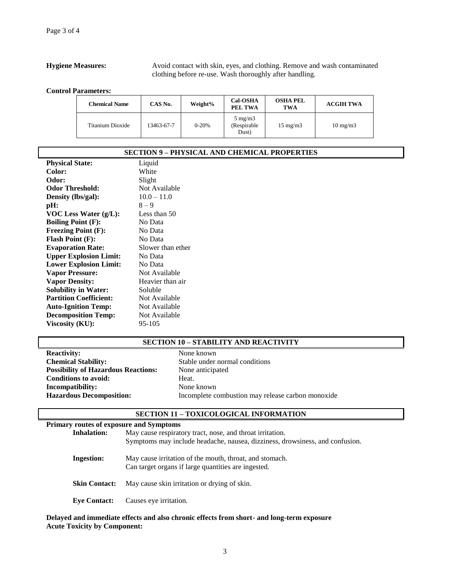#### **Hygiene Measures:** Avoid contact with skin, eyes, and clothing. Remove and wash contaminated clothing before re-use. Wash thoroughly after handling.

**Control Parameters:**

| <b>Chemical Name</b> | CAS No.    | Weight%   | <b>Cal-OSHA</b><br>PEL TWA                | <b>OSHA PEL</b><br>TWA | <b>ACGIH TWA</b>  |
|----------------------|------------|-----------|-------------------------------------------|------------------------|-------------------|
| Titanium Dioxide     | 13463-67-7 | $0 - 20%$ | $5 \text{ mg/m}$<br>(Respirable)<br>Dust) | $15 \text{ mg/m}$      | $10 \text{ mg/m}$ |

| <b>SECTION 9 – PHYSICAL AND CHEMICAL PROPERTIES</b> |                   |  |
|-----------------------------------------------------|-------------------|--|
| <b>Physical State:</b>                              | Liquid            |  |
| Color:                                              | White             |  |
| Odor:                                               | Slight            |  |
| <b>Odor Threshold:</b>                              | Not Available     |  |
| Density (lbs/gal):                                  | $10.0 - 11.0$     |  |
| pH:                                                 | $8 - 9$           |  |
| VOC Less Water $(g/L)$ :                            | Less than 50      |  |
| <b>Boiling Point (F):</b>                           | No Data           |  |
| <b>Freezing Point (F):</b>                          | No Data           |  |
| <b>Flash Point (F):</b>                             | No Data           |  |
| <b>Evaporation Rate:</b>                            | Slower than ether |  |
| <b>Upper Explosion Limit:</b>                       | No Data           |  |
| <b>Lower Explosion Limit:</b>                       | No Data           |  |
| <b>Vapor Pressure:</b>                              | Not Available     |  |
| <b>Vapor Density:</b>                               | Heavier than air  |  |
| <b>Solubility in Water:</b>                         | Soluble           |  |
| <b>Partition Coefficient:</b>                       | Not Available     |  |
| <b>Auto-Ignition Temp:</b>                          | Not Available     |  |
| <b>Decomposition Temp:</b>                          | Not Available     |  |
| Viscosity (KU):                                     | 95-105            |  |

#### **SECTION 10 – STABILITY AND REACTIVITY**

| <b>Reactivity:</b>                         | None known    |
|--------------------------------------------|---------------|
| <b>Chemical Stability:</b>                 | Stable under  |
| <b>Possibility of Hazardous Reactions:</b> | None anticipa |
| <b>Conditions to avoid:</b>                | Heat.         |
| Incompatibility:                           | None known    |
| <b>Hazardous Decomposition:</b>            | Incomplete co |

ble under normal conditions **Possibility of Hazardous Reactions:** None anticipated **Incomparish** omplete combustion may release carbon monoxide

#### **SECTION 11 – TOXICOLOGICAL INFORMATION**

# **Primary routes of exposure and Symptoms Inhalation:** May cause respiratory tract, nose, and throat irritation. Symptoms may include headache, nausea, dizziness, drowsiness, and confusion. **Ingestion:** May cause irritation of the mouth, throat, and stomach. Can target organs if large quantities are ingested. **Skin Contact:** May cause skin irritation or drying of skin. **Eye Contact:** Causes eye irritation.

**Delayed and immediate effects and also chronic effects from short- and long-term exposure Acute Toxicity by Component:**